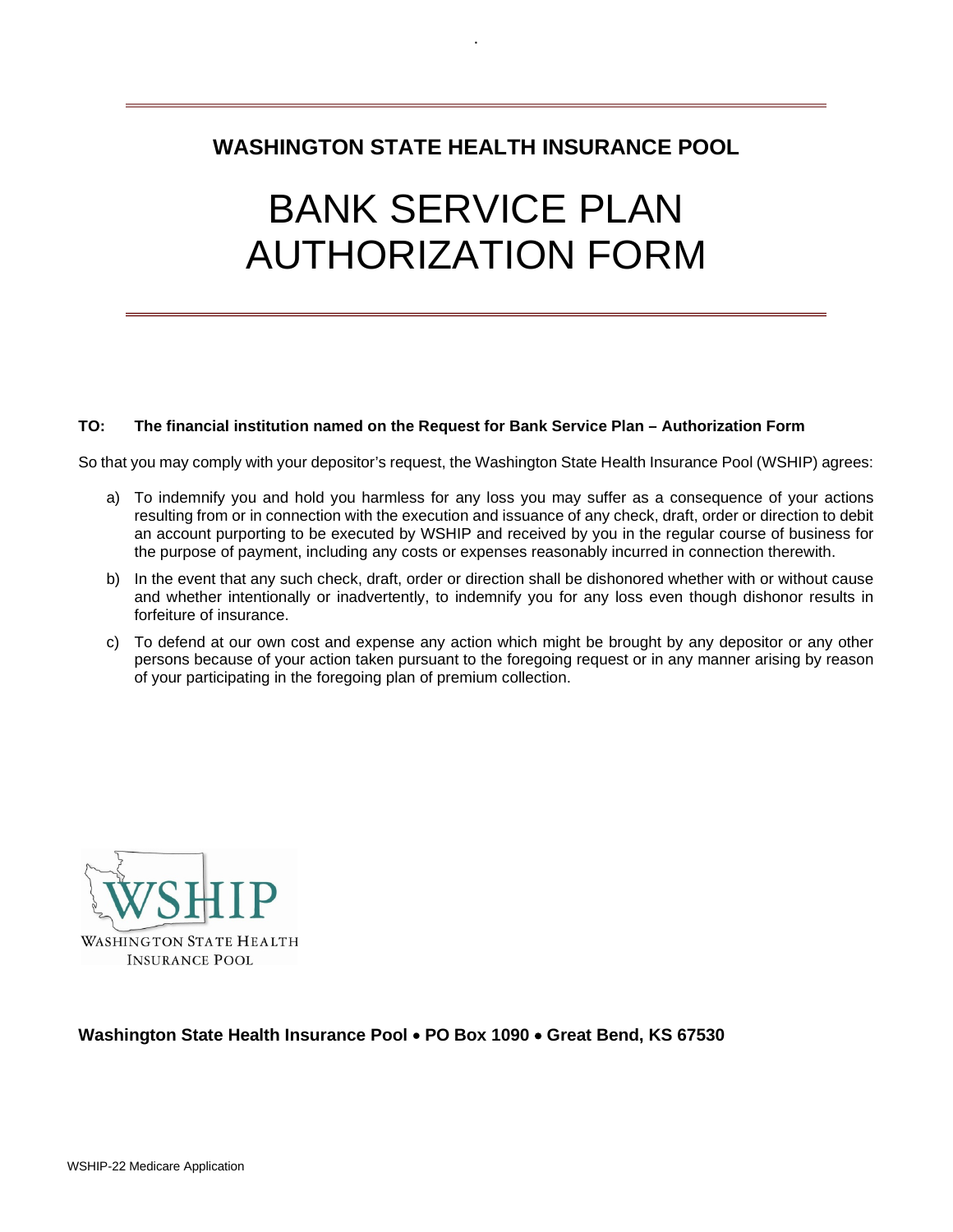# **WASHINGTON STATE HEALTH INSURANCE POOL**

.

# BANK SERVICE PLAN AUTHORIZATION FORM

#### **TO: The financial institution named on the Request for Bank Service Plan – Authorization Form**

So that you may comply with your depositor's request, the Washington State Health Insurance Pool (WSHIP) agrees:

- a) To indemnify you and hold you harmless for any loss you may suffer as a consequence of your actions resulting from or in connection with the execution and issuance of any check, draft, order or direction to debit an account purporting to be executed by WSHIP and received by you in the regular course of business for the purpose of payment, including any costs or expenses reasonably incurred in connection therewith.
- b) In the event that any such check, draft, order or direction shall be dishonored whether with or without cause and whether intentionally or inadvertently, to indemnify you for any loss even though dishonor results in forfeiture of insurance.
- c) To defend at our own cost and expense any action which might be brought by any depositor or any other persons because of your action taken pursuant to the foregoing request or in any manner arising by reason of your participating in the foregoing plan of premium collection.



**Washington State Health Insurance Pool** • **PO Box 1090** • **Great Bend, KS 67530**